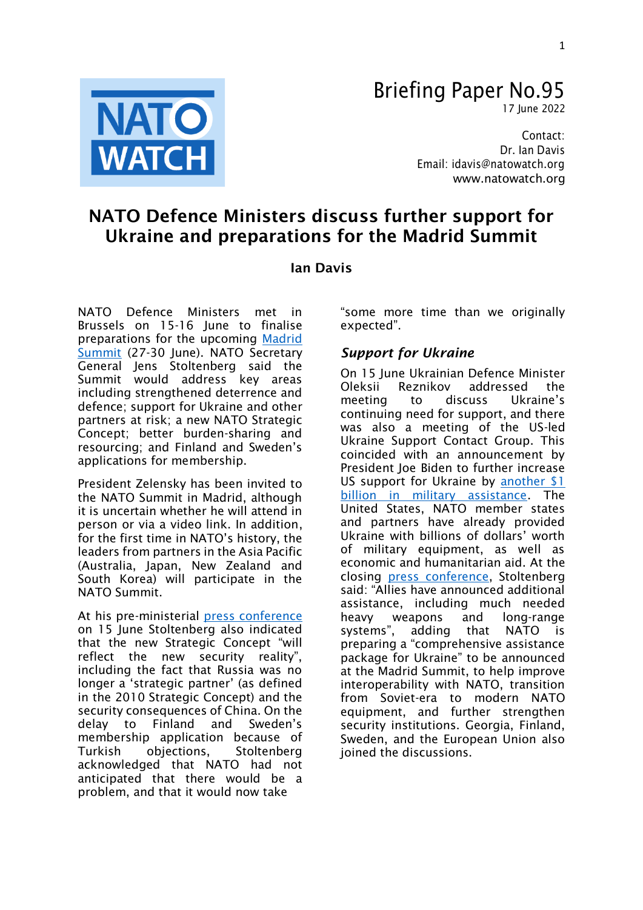

# Briefing Paper No.95

17 June 2022

Contact: Dr. Ian Davis Email: [idavis@natowatch.org](mailto:idavis@natowatch.org) [www.natowatch.org](http://www.natowatch.org/)

# NATO Defence Ministers discuss further support for Ukraine and preparations for the Madrid Summit

### Ian Davis

NATO Defence Ministers met in Brussels on 15-16 June to finalise preparations for the upcoming [Madrid](https://www.nato.int/cps/en/natohq/events_196720.htm)  [Summit](https://www.nato.int/cps/en/natohq/events_196720.htm) (27-30 June). NATO Secretary General Jens Stoltenberg said the Summit would address key areas including strengthened deterrence and defence; support for Ukraine and other partners at risk; a new NATO Strategic Concept; better burden-sharing and resourcing; and Finland and Sweden's applications for membership.

President Zelensky has been invited to the NATO Summit in Madrid, although it is uncertain whether he will attend in person or via a video link. In addition, for the first time in NATO's history, the leaders from partners in the Asia Pacific (Australia, Japan, New Zealand and South Korea) will participate in the NATO Summit.

At his pre-ministerial [press conference](https://www.nato.int/cps/en/natohq/opinions_196620.htm) on 15 June Stoltenberg also indicated that the new Strategic Concept "will reflect the new security reality", including the fact that Russia was no longer a 'strategic partner' (as defined in the 2010 Strategic Concept) and the security consequences of China. On the delay to Finland and Sweden's membership application because of Turkish objections, Stoltenberg acknowledged that NATO had not anticipated that there would be a problem, and that it would now take

"some more time than we originally expected".

## *Support for Ukraine*

On 15 June Ukrainian Defence Minister Oleksii Reznikov addressed the meeting to discuss Ukraine's continuing need for support, and there was also a meeting of the US-led Ukraine Support Contact Group. This coincided with an announcement by President Joe Biden to further increase US support for Ukraine by [another \\$1](https://www.cbsnews.com/news/ukraine-american-aid-1-billion-biden/)  [billion in military assistance.](https://www.cbsnews.com/news/ukraine-american-aid-1-billion-biden/) The United States, NATO member states and partners have already provided Ukraine with billions of dollars' worth of military equipment, as well as economic and humanitarian aid. At the closing [press conference,](https://www.nato.int/cps/en/natohq/opinions_196623.htm?selectedLocale=en) Stoltenberg said: "Allies have announced additional assistance, including much needed heavy weapons and long-range systems", adding that NATO is preparing a "comprehensive assistance package for Ukraine" to be announced at the Madrid Summit, to help improve interoperability with NATO, transition from Soviet-era to modern NATO equipment, and further strengthen security institutions. Georgia, Finland, Sweden, and the European Union also joined the discussions.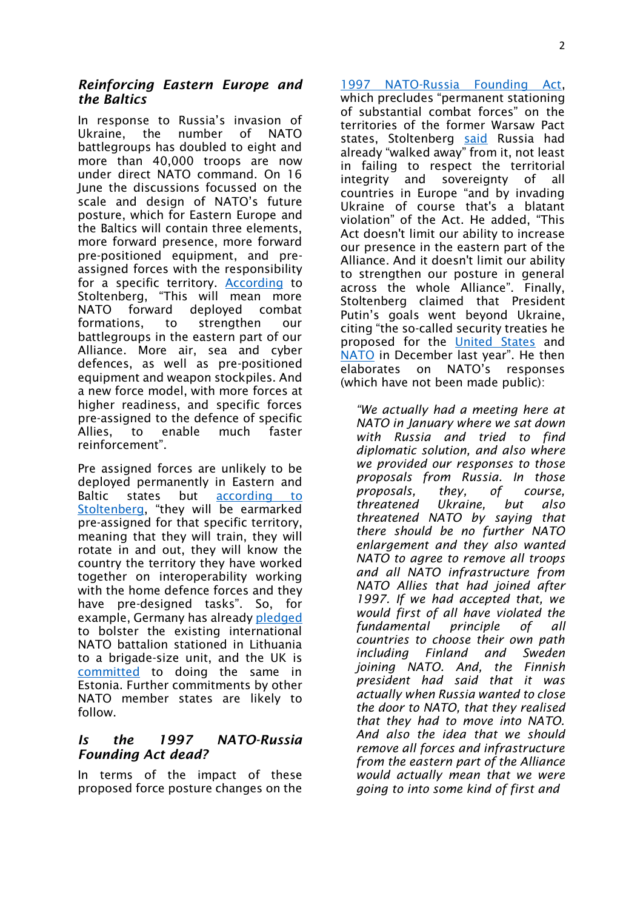#### *Reinforcing Eastern Europe and the Baltics*

In response to Russia's invasion of Ukraine, the number of NATO battlegroups has doubled to eight and more than 40,000 troops are now under direct NATO command. On 16 June the discussions focussed on the scale and design of NATO's future posture, which for Eastern Europe and the Baltics will contain three elements, more forward presence, more forward pre-positioned equipment, and preassigned forces with the responsibility for a specific territory. [According](https://www.nato.int/cps/en/natohq/opinions_196623.htm?selectedLocale=en) to Stoltenberg, "This will mean more NATO forward deployed combat formations, to strengthen our battlegroups in the eastern part of our Alliance. More air, sea and cyber defences, as well as pre-positioned equipment and weapon stockpiles. And a new force model, with more forces at higher readiness, and specific forces pre-assigned to the defence of specific Allies, to enable much faster reinforcement".

Pre assigned forces are unlikely to be deployed permanently in Eastern and Baltic states but according to [Stoltenberg](https://www.nato.int/cps/en/natohq/opinions_196620.htm), "they will be earmarked pre-assigned for that specific territory, meaning that they will train, they will rotate in and out, they will know the country the territory they have worked together on interoperability working with the home defence forces and they have pre-designed tasks". So, for example, Germany has already [pledged](https://www.baltictimes.com/germany_pledges_to_beef_up_nato_battalion_in_lithuania_to_brigade-level/) to bolster the existing international NATO battalion stationed in Lithuania to a brigade-size unit, and the UK is [committed](https://www.reuters.com/world/europe/latvia-wants-more-nato-troops-fed-up-paying-lunch-others-2022-06-16/) to doing the same in Estonia. Further commitments by other NATO member states are likely to follow.

### *Is the 1997 NATO-Russia Founding Act dead?*

In terms of the impact of these proposed force posture changes on the

[1997 NATO-Russia Founding Act,](https://www.nato.int/cps/su/natohq/official_texts_25468.htm) which precludes "permanent stationing of substantial combat forces" on the territories of the former Warsaw Pact states, Stoltenberg [said](https://www.nato.int/cps/en/natohq/opinions_196620.htm) Russia had already "walked away" from it, not least in failing to respect the territorial integrity and sovereignty of all countries in Europe "and by invading Ukraine of course that's a blatant violation" of the Act. He added, "This Act doesn't limit our ability to increase our presence in the eastern part of the Alliance. And it doesn't limit our ability to strengthen our posture in general across the whole Alliance". Finally, Stoltenberg claimed that President Putin's goals went beyond Ukraine, citing "the so-called security treaties he proposed for the [United States](https://mid.ru/ru/foreign_policy/rso/nato/1790818/?lang=en) and [NATO](https://mid.ru/ru/foreign_policy/rso/nato/1790803/?lang=en) in December last year". He then elaborates on NATO's responses (which have not been made public):

*"We actually had a meeting here at NATO in January where we sat down with Russia and tried to find diplomatic solution, and also where we provided our responses to those proposals from Russia. In those proposals, they, of course, threatened Ukraine, but also threatened NATO by saying that there should be no further NATO enlargement and they also wanted NATO to agree to remove all troops and all NATO infrastructure from NATO Allies that had joined after 1997. If we had accepted that, we would first of all have violated the fundamental principle of all countries to choose their own path including Finland and Sweden joining NATO. And, the Finnish president had said that it was actually when Russia wanted to close the door to NATO, that they realised that they had to move into NATO. And also the idea that we should remove all forces and infrastructure from the eastern part of the Alliance would actually mean that we were going to into some kind of first and*